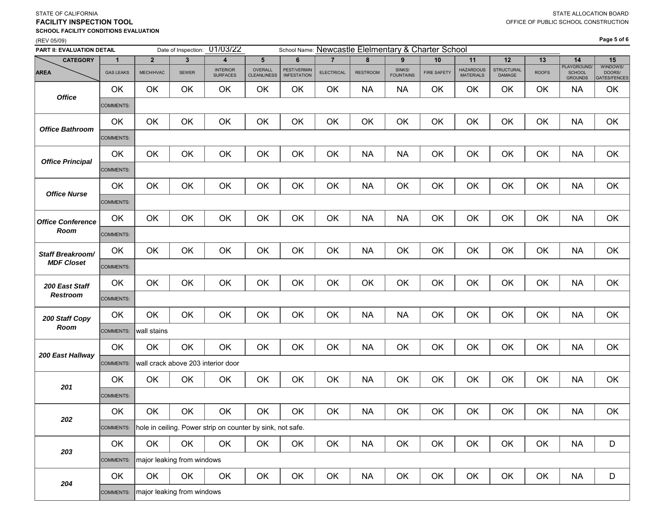### STATE OF CALIFORNIA **FACILITY INSPECTION TOOL**(REV 05/09) **SCHOOL FACILITY CONDITIONS EVALUATION**

### **Page 5 of 6**

| PART II: EVALUATION DETAIL |                  |                            | Date of Inspection: | 01/03/22                                                   |                               |                                   |                   |                 |                            | School Name: Newcastle Elelmentary & Charter School |                                      |                             |              |                                                |                                    |
|----------------------------|------------------|----------------------------|---------------------|------------------------------------------------------------|-------------------------------|-----------------------------------|-------------------|-----------------|----------------------------|-----------------------------------------------------|--------------------------------------|-----------------------------|--------------|------------------------------------------------|------------------------------------|
| <b>CATEGORY</b>            | 1                | $\overline{2}$             | $\mathbf{3}$        | 4                                                          | $5\phantom{.0}$               | 6                                 | $\overline{7}$    | 8               | 9                          | 10                                                  | 11                                   | 12                          | 13           | 14                                             | 15                                 |
| <b>AREA</b>                | <b>GAS LEAKS</b> | MECH/HVAC                  | <b>SEWER</b>        | <b>INTERIOR</b><br><b>SURFACES</b>                         | OVERALL<br><b>CLEANLINESS</b> | PEST/VERMIN<br><b>INFESTATION</b> | <b>ELECTRICAL</b> | <b>RESTROOM</b> | SINKS/<br><b>FOUNTAINS</b> | <b>FIRE SAFETY</b>                                  | <b>HAZARDOUS</b><br><b>MATERIALS</b> | <b>STRUCTURAL</b><br>DAMAGE | <b>ROOFS</b> | PLAYGROUND/<br><b>SCHOOL</b><br><b>GROUNDS</b> | WINDOWS/<br>DOORS/<br>GATES/FENCES |
| <b>Office</b>              | OK               | OK                         | OK                  | OK                                                         | OK                            | OK                                | OK                | <b>NA</b>       | <b>NA</b>                  | OK                                                  | OK                                   | OK                          | OK           | <b>NA</b>                                      | OK                                 |
|                            | COMMENTS:        |                            |                     |                                                            |                               |                                   |                   |                 |                            |                                                     |                                      |                             |              |                                                |                                    |
| <b>Office Bathroom</b>     | OK               | OK                         | OK                  | OK                                                         | OK                            | OK                                | OK                | OK              | OK                         | OK                                                  | OK                                   | OK                          | OK           | <b>NA</b>                                      | OK                                 |
|                            | COMMENTS:        |                            |                     |                                                            |                               |                                   |                   |                 |                            |                                                     |                                      |                             |              |                                                |                                    |
| <b>Office Principal</b>    | OK               | OK                         | OK                  | OK                                                         | OK                            | OK                                | OK                | <b>NA</b>       | <b>NA</b>                  | OK                                                  | OK                                   | OK                          | OK           | <b>NA</b>                                      | OK                                 |
|                            | COMMENTS:        |                            |                     |                                                            |                               |                                   |                   |                 |                            |                                                     |                                      |                             |              |                                                |                                    |
| <b>Office Nurse</b>        | OK               | OK                         | OK                  | OK                                                         | OK                            | OK                                | OK                | <b>NA</b>       | OK                         | OK                                                  | OK                                   | OK                          | OK           | <b>NA</b>                                      | OK                                 |
|                            | COMMENTS:        |                            |                     |                                                            |                               |                                   |                   |                 |                            |                                                     |                                      |                             |              |                                                |                                    |
| <b>Office Conference</b>   | OK               | OK                         | OK                  | OK                                                         | OK                            | OK                                | OK                | <b>NA</b>       | <b>NA</b>                  | OK                                                  | OK                                   | OK                          | OK           | <b>NA</b>                                      | OK                                 |
| Room                       | COMMENTS:        |                            |                     |                                                            |                               |                                   |                   |                 |                            |                                                     |                                      |                             |              |                                                |                                    |
| <b>Staff Breakroom/</b>    | OK               | OK                         | OK                  | OK                                                         | OK                            | OK                                | OK                | <b>NA</b>       | OK                         | OK                                                  | OK                                   | OK                          | OK           | <b>NA</b>                                      | OK                                 |
| <b>MDF Closet</b>          | COMMENTS:        |                            |                     |                                                            |                               |                                   |                   |                 |                            |                                                     |                                      |                             |              |                                                |                                    |
| 200 East Staff             | OK               | OK                         | OK                  | OK                                                         | OK                            | OK                                | OK                | OK              | OK                         | OK                                                  | OK                                   | OK                          | OK           | <b>NA</b>                                      | OK                                 |
| <b>Restroom</b>            | <b>COMMENTS:</b> |                            |                     |                                                            |                               |                                   |                   |                 |                            |                                                     |                                      |                             |              |                                                |                                    |
| 200 Staff Copy             | OK               | OK                         | OK                  | OK                                                         | OK                            | OK                                | OK                | <b>NA</b>       | <b>NA</b>                  | OK                                                  | OK                                   | OK                          | OK           | <b>NA</b>                                      | OK                                 |
| Room                       | COMMENTS:        | wall stains                |                     |                                                            |                               |                                   |                   |                 |                            |                                                     |                                      |                             |              |                                                |                                    |
| 200 East Hallway           | OK               | OK                         | OK                  | OK                                                         | OK                            | OK                                | OK                | <b>NA</b>       | OK                         | OK                                                  | OK                                   | OK                          | OK           | <b>NA</b>                                      | OK                                 |
|                            | COMMENTS:        |                            |                     | wall crack above 203 interior door                         |                               |                                   |                   |                 |                            |                                                     |                                      |                             |              |                                                |                                    |
| 201                        | OK               | OK                         | OK                  | OK                                                         | OK                            | OK                                | OK                | <b>NA</b>       | OK                         | OK                                                  | OK                                   | OK                          | OK           | <b>NA</b>                                      | OK                                 |
|                            | COMMENTS:        |                            |                     |                                                            |                               |                                   |                   |                 |                            |                                                     |                                      |                             |              |                                                |                                    |
| 202                        | OK               | OK                         | OK                  | OK                                                         | OK                            | OK                                | OK                | <b>NA</b>       | OK                         | OK                                                  | OK                                   | OK                          | OK           | <b>NA</b>                                      | OK                                 |
|                            | COMMENTS:        |                            |                     | hole in ceiling. Power strip on counter by sink, not safe. |                               |                                   |                   |                 |                            |                                                     |                                      |                             |              |                                                |                                    |
| 203                        | OK               | OK                         | OK                  | OK                                                         | OK                            | OK                                | OK                | <b>NA</b>       | OK                         | OK                                                  | OK                                   | OK                          | OK           | <b>NA</b>                                      | D                                  |
|                            | COMMENTS:        | major leaking from windows |                     |                                                            |                               |                                   |                   |                 |                            |                                                     |                                      |                             |              |                                                |                                    |
| 204                        | OK               | OK                         | OK                  | OK                                                         | OK                            | OK                                | OK                | <b>NA</b>       | OK                         | OK                                                  | OK                                   | OK                          | OK           | <b>NA</b>                                      | D                                  |
|                            | COMMENTS:        | major leaking from windows |                     |                                                            |                               |                                   |                   |                 |                            |                                                     |                                      |                             |              |                                                |                                    |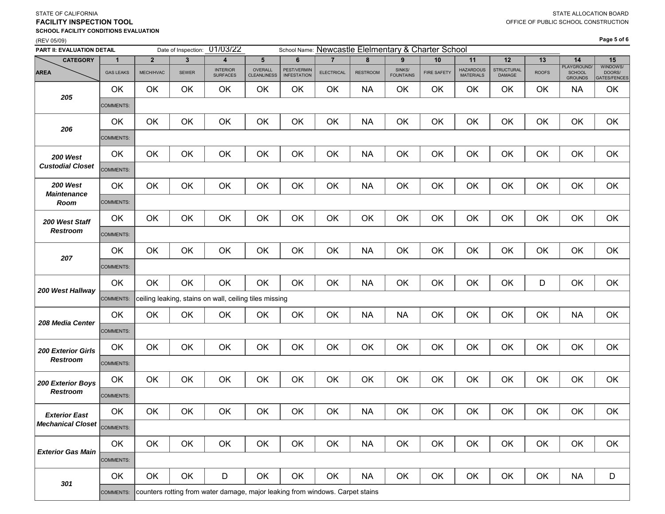#### (REV 05/09) 01/03/22CATEGORY | 1 | 2 | 3 | 4 | 5 | 6 | 7 | 8 | 9 | 10 | 11 | 12 | 13 | 14 | 15 **PART II: EVALUATION DETAIL**SINKS/ FOUNTAINSINTERIOR SURFACESSchool Name: <u>Newcastle Elelmentary & Charter School</u> FIRE SAFETYDate of Inspection: PEST/VERMIN **INFESTATION**  ELECTRICAL **AREA**A CAS LEAKS MECH/HVAC SEWER SURFRIOR OVERALL PESTIVEN ELECTRICAL RESTROOM SINTES FINES AFEETY MATERIALS DAMAGE ROOFS PEST/VERMIN ELECTRICAL RESTROOM SINKS/ FIRE SAFETY HAZARDOUS STRUCTURAL ROOFS CHOOL PLAYGROUND/<br>INFESTATION ELECTRICAL RESTROOM FOUNTAINS FIRE SAFETY MATERIALS DAMAGE ROOFS GROUNDS MECH/HVAC SEWER INTERIOR OVERALL PEST/VERMIN ELECTRICAL RESTROOM SINKS/ FIRE SAFETY HAZARDOUS STRUCTURAL ROOFS<br>MATERIALS DAMAGE SURFACES CLEANLINESS INFESTATION INFESTATION BATES/FENCES OK | OK | OK | OK | OK | OK | NA | OK | OK | OK | OK | OK | NA | OK COMMENTS: OK | OK | OK | OK | OK | OK | NA | OK | OK | OK | OK | OK | OK | OK COMMENTS: OK | OK | OK | OK | OK | OK | NA | OK | OK | OK | OK | OK | OK | OK COMMENTS:OK | OK | OK | OK | OK | OK | NA | OK | OK | OK | OK | OK | OK | OK COMMENTS: OK OK OK OK OK OK OK OK OK OK OK OK OK OK OK COMMENTS:OK | OK | OK | OK | OK | OK | NA | OK | OK | OK | OK | OK | OK | OK COMMENTS: OK | OK | OK | OK | OK | OK | NA | OK | OK | OK | OK | D | OK | OK COMMENTS: OK | OK | OK | OK | OK | OK | NA | NA | OK | OK | OK | OK | NA | OK COMMENTS:OK OK OK OK OK OK OK OK OK OK OK OK OK OK OK COMMENTS:OK OK OK OK OK OK OK OK OK OK OK OK OK OK OK COMMENTS:OK | OK | OK | OK | OK | OK | NA | OK | OK | OK | OK | OK | OK | OK COMMENTS: OK | OK | OK | OK | OK | OK | NA | OK | OK | OK | OK | OK | OK | OK COMMENTS: OK | OK | OK | D | OK | OK | OK | NA | OK | OK | OK | OK | OK | NA | D COMMENTS: *205206200 West Custodial Closet200 West Maintenance Room200 West Staff Restroom*ceiling leaking, stains on wall, ceiling tiles missing *Exterior Gas Main301*counters rotting from water damage, major leaking from windows. Carpet stains *200 Exterior Girls Restroom200 Exterior Boys RestroomExterior East Mechanical Closet207200 West Hallway 208 Media Center*

# **FACILITY INSPECTION TOOLSCHOOL FACILITY CONDITIONS EVALUATION**

**Page 5 of 6**

STATE OF CALIFORNIA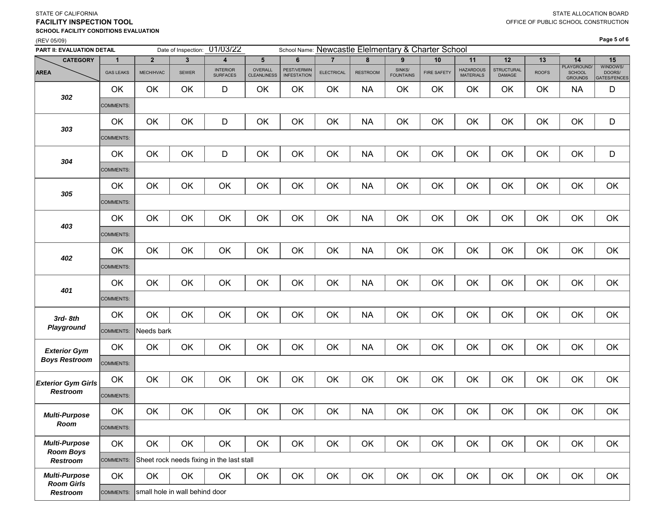### STATE OF CALIFORNIA **FACILITY INSPECTION TOOLSCHOOL FACILITY CONDITIONS EVALUATION**

#### (REV 05/09)

| PART II: EVALUATION DETAIL                |                  |                                | Date of Inspection: | 01/03/22                                  |                               |                                          |                   |                 |                            | School Name: Newcastle Elelmentary & Charter School |                                      |                             |              |                                         |                                           |
|-------------------------------------------|------------------|--------------------------------|---------------------|-------------------------------------------|-------------------------------|------------------------------------------|-------------------|-----------------|----------------------------|-----------------------------------------------------|--------------------------------------|-----------------------------|--------------|-----------------------------------------|-------------------------------------------|
| <b>CATEGORY</b>                           | $\overline{1}$   | $\overline{2}$                 | 3                   | 4                                         | $5\phantom{.0}$               | 6                                        | $\overline{7}$    | 8               | 9                          | 10                                                  | 11                                   | 12                          | 13           | 14                                      | 15                                        |
| <b>AREA</b>                               | <b>GAS LEAKS</b> | MECH/HVAC                      | <b>SEWER</b>        | <b>INTERIOR</b><br><b>SURFACES</b>        | OVERALL<br><b>CLEANLINESS</b> | <b>PEST/VERMIN</b><br><b>INFESTATION</b> | <b>ELECTRICAL</b> | <b>RESTROOM</b> | SINKS/<br><b>FOUNTAINS</b> | <b>FIRE SAFETY</b>                                  | <b>HAZARDOUS</b><br><b>MATERIALS</b> | <b>STRUCTURAL</b><br>DAMAGE | <b>ROOFS</b> | PLAYGROUND/<br><b>SCHOOL</b><br>GROUNDS | WINDOWS/<br>DOORS/<br><b>GATES/FENCES</b> |
| 302                                       | OK               | OK                             | OK                  | D                                         | OK                            | OK                                       | OK                | <b>NA</b>       | OK                         | OK                                                  | OK                                   | OK                          | OK           | <b>NA</b>                               | D                                         |
|                                           | <b>COMMENTS:</b> |                                |                     |                                           |                               |                                          |                   |                 |                            |                                                     |                                      |                             |              |                                         |                                           |
|                                           | OK               | OK                             | OK                  | D                                         | OK                            | OK                                       | OK                | <b>NA</b>       | OK                         | OK                                                  | OK                                   | OK                          | OK           | OK                                      | D                                         |
| 303                                       | <b>COMMENTS:</b> |                                |                     |                                           |                               |                                          |                   |                 |                            |                                                     |                                      |                             |              |                                         |                                           |
|                                           | OK               | OK                             | OK                  | D                                         | OK                            | OK                                       | OK                | <b>NA</b>       | OK                         | OK                                                  | OK                                   | OK                          | OK           | OK                                      | D                                         |
| 304                                       | <b>COMMENTS:</b> |                                |                     |                                           |                               |                                          |                   |                 |                            |                                                     |                                      |                             |              |                                         |                                           |
|                                           | OK               | OK                             | OK                  | OK                                        | OK                            | OK                                       | OK                | <b>NA</b>       | OK                         | OK                                                  | OK                                   | OK                          | OK           | OK                                      | OK                                        |
| 305                                       | <b>COMMENTS:</b> |                                |                     |                                           |                               |                                          |                   |                 |                            |                                                     |                                      |                             |              |                                         |                                           |
|                                           | OK               | OK                             | OK                  | OK                                        | OK                            | OK                                       | OK                | <b>NA</b>       | OK                         | OK                                                  | OK                                   | OK                          | OK           | OK                                      | OK                                        |
| 403                                       | <b>COMMENTS:</b> |                                |                     |                                           |                               |                                          |                   |                 |                            |                                                     |                                      |                             |              |                                         |                                           |
|                                           | <b>OK</b>        | OK                             | OK                  | OK                                        | OK                            | OK                                       | OK                | <b>NA</b>       | OK                         | OK                                                  | OK                                   | OK                          | OK           | OK                                      | OK                                        |
| 402                                       | COMMENTS:        |                                |                     |                                           |                               |                                          |                   |                 |                            |                                                     |                                      |                             |              |                                         |                                           |
|                                           | OK               | OK                             | OK                  | OK                                        | OK                            | OK                                       | OK                | <b>NA</b>       | OK                         | OK                                                  | OK                                   | OK                          | OK           | OK                                      | OK                                        |
| 401                                       | <b>COMMENTS:</b> |                                |                     |                                           |                               |                                          |                   |                 |                            |                                                     |                                      |                             |              |                                         |                                           |
| 3rd-8th                                   | OK               | OK                             | OK                  | OK                                        | OK                            | OK                                       | OK                | <b>NA</b>       | OK                         | OK                                                  | OK                                   | OK                          | OK           | OK                                      | OK                                        |
| Playground                                | <b>COMMENTS:</b> | Needs bark                     |                     |                                           |                               |                                          |                   |                 |                            |                                                     |                                      |                             |              |                                         |                                           |
| <b>Exterior Gym</b>                       | OK               | OK                             | OK                  | OK                                        | OK                            | OK                                       | OK                | <b>NA</b>       | OK                         | OK                                                  | OK                                   | OK                          | OK           | OK                                      | OK                                        |
| <b>Boys Restroom</b>                      | <b>COMMENTS:</b> |                                |                     |                                           |                               |                                          |                   |                 |                            |                                                     |                                      |                             |              |                                         |                                           |
| <b>Exterior Gym Girls</b>                 | OK               | OK                             | OK                  | OK                                        | OK                            | OK                                       | OK                | OK              | OK                         | OK                                                  | OK                                   | OK                          | OK           | OK                                      | OK                                        |
| <b>Restroom</b>                           | <b>COMMENTS:</b> |                                |                     |                                           |                               |                                          |                   |                 |                            |                                                     |                                      |                             |              |                                         |                                           |
| <b>Multi-Purpose</b>                      | OK               | OK                             | OK                  | OK                                        | OK                            | OK                                       | OK                | <b>NA</b>       | OK                         | OK                                                  | OK                                   | OK                          | OK           | OK                                      | OK                                        |
| ROOM                                      | COMMENTS:        |                                |                     |                                           |                               |                                          |                   |                 |                            |                                                     |                                      |                             |              |                                         |                                           |
| <b>Multi-Purpose</b>                      | OK               | OK                             | OK                  | OK                                        | OK                            | OK                                       | OK                | OK              | OK                         | OK                                                  | OK                                   | OK                          | OK           | OK                                      | OK                                        |
| <b>Room Boys</b><br>Restroom              | COMMENTS:        |                                |                     | Sheet rock needs fixing in the last stall |                               |                                          |                   |                 |                            |                                                     |                                      |                             |              |                                         |                                           |
| <b>Multi-Purpose</b><br><b>Room Girls</b> | OK               | OK                             | OK                  | OK                                        | OK                            | OK                                       | OK                | OK              | OK                         | OK                                                  | OK                                   | OK                          | OK           | OK                                      | OK                                        |
| Restroom                                  | COMMENTS:        | small hole in wall behind door |                     |                                           |                               |                                          |                   |                 |                            |                                                     |                                      |                             |              |                                         |                                           |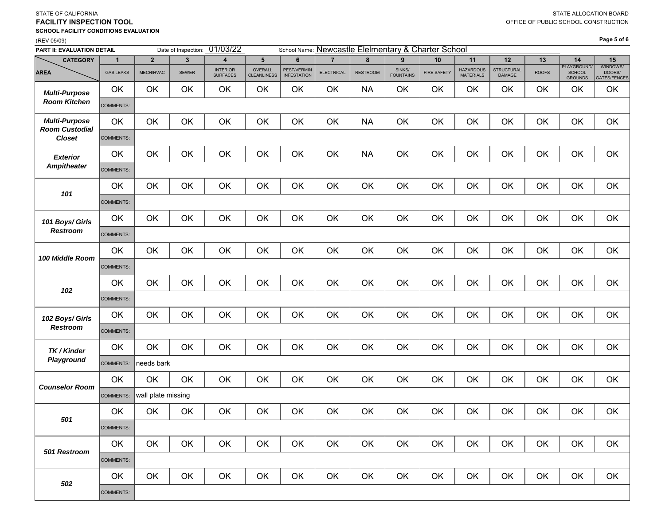| PART II: EVALUATION DETAIL                    |                  |                    |              | Date of Inspection: 01/03/22       |                               | School Name: Newcastle Elelmentary & Charter School |                   |                 |                            |                    |                                      |                             |              |                                         |                                           |
|-----------------------------------------------|------------------|--------------------|--------------|------------------------------------|-------------------------------|-----------------------------------------------------|-------------------|-----------------|----------------------------|--------------------|--------------------------------------|-----------------------------|--------------|-----------------------------------------|-------------------------------------------|
| <b>CATEGORY</b>                               | $\mathbf{1}$     | $\overline{2}$     | $\mathbf{3}$ | $\overline{\mathbf{4}}$            | 5                             | 6                                                   | $\overline{7}$    | 8               | 9                          | 10                 | 11                                   | 12                          | 13           | 14                                      | 15                                        |
| <b>AREA</b>                                   | <b>GAS LEAKS</b> | MECH/HVAC          | <b>SEWER</b> | <b>INTERIOR</b><br><b>SURFACES</b> | OVERALL<br><b>CLEANLINESS</b> | PEST/VERMIN<br><b>INFESTATION</b>                   | <b>ELECTRICAL</b> | <b>RESTROOM</b> | SINKS/<br><b>FOUNTAINS</b> | <b>FIRE SAFETY</b> | <b>HAZARDOUS</b><br><b>MATERIALS</b> | <b>STRUCTURAL</b><br>DAMAGE | <b>ROOFS</b> | PLAYGROUND/<br>SCHOOL<br><b>GROUNDS</b> | WINDOWS/<br>DOORS/<br><b>GATES/FENCES</b> |
| <b>Multi-Purpose</b>                          | OK               | OK                 | OK           | OK                                 | OK                            | OK                                                  | OK                | <b>NA</b>       | OK                         | OK                 | OK                                   | OK                          | OK           | OK                                      | OK                                        |
| <b>Room Kitchen</b>                           | COMMENTS:        |                    |              |                                    |                               |                                                     |                   |                 |                            |                    |                                      |                             |              |                                         |                                           |
| <b>Multi-Purpose</b><br><b>Room Custodial</b> | OK               | OK                 | OK           | OK                                 | OK                            | OK                                                  | OK                | <b>NA</b>       | OK                         | OK                 | OK                                   | OK                          | OK           | OK                                      | OK                                        |
| <b>Closet</b>                                 | COMMENTS:        |                    |              |                                    |                               |                                                     |                   |                 |                            |                    |                                      |                             |              |                                         |                                           |
| <b>Exterior</b>                               | OK               | OK                 | OK           | OK                                 | OK                            | OK                                                  | OK                | <b>NA</b>       | OK                         | OK                 | OK                                   | OK                          | OK           | OK                                      | OK                                        |
| <b>Ampitheater</b>                            | COMMENTS:        |                    |              |                                    |                               |                                                     |                   |                 |                            |                    |                                      |                             |              |                                         |                                           |
| 101                                           | OK               | OK                 | OK           | OK                                 | OK                            | OK                                                  | OK                | OK              | OK                         | OK                 | OK                                   | OK                          | OK           | OK                                      | OK                                        |
|                                               | COMMENTS:        |                    |              |                                    |                               |                                                     |                   |                 |                            |                    |                                      |                             |              |                                         |                                           |
| 101 Boys/ Girls                               | OK               | OK                 | OK           | OK                                 | OK                            | OK                                                  | OK                | OK              | OK                         | OK                 | OK                                   | OK                          | OK           | OK                                      | OK                                        |
| <b>Restroom</b>                               | COMMENTS:        |                    |              |                                    |                               |                                                     |                   |                 |                            |                    |                                      |                             |              |                                         |                                           |
| 100 Middle Room                               | OK               | OK                 | OK           | OK                                 | OK                            | OK                                                  | OK                | OK              | OK                         | OK                 | OK                                   | OK                          | OK           | OK                                      | OK                                        |
|                                               | COMMENTS:        |                    |              |                                    |                               |                                                     |                   |                 |                            |                    |                                      |                             |              |                                         |                                           |
| 102                                           | OK               | OK                 | OK           | OK                                 | OK                            | OK                                                  | OK                | OK              | OK                         | OK                 | OK                                   | OK                          | OK           | OK                                      | OK                                        |
|                                               | COMMENTS:        |                    |              |                                    |                               |                                                     |                   |                 |                            |                    |                                      |                             |              |                                         |                                           |
| 102 Boys/ Girls                               | OK               | OK                 | OK           | OK                                 | OK                            | OK                                                  | OK                | OK              | OK                         | OK                 | OK                                   | OK                          | OK           | OK                                      | OK                                        |
| <b>Restroom</b>                               | COMMENTS:        |                    |              |                                    |                               |                                                     |                   |                 |                            |                    |                                      |                             |              |                                         |                                           |
| TK / Kinder                                   | OK               | OK                 | OK           | OK                                 | OK                            | OK                                                  | OK                | OK              | OK                         | OK                 | OK                                   | OK                          | OK           | OK                                      | OK                                        |
| Playground                                    | <b>COMMENTS:</b> | needs bark         |              |                                    |                               |                                                     |                   |                 |                            |                    |                                      |                             |              |                                         |                                           |
| <b>Counselor Room</b>                         | OK               | OK                 | OK           | OK                                 | OK                            | OK                                                  | OK                | OK              | OK                         | OK                 | OK                                   | OK                          | OK           | OK                                      | OK                                        |
|                                               | COMMENTS:        | wall plate missing |              |                                    |                               |                                                     |                   |                 |                            |                    |                                      |                             |              |                                         |                                           |
| 501                                           | OK               | OK                 | OK           | OK                                 | OK                            | OK                                                  | OK                | OK              | OK                         | OK                 | OK                                   | OK                          | OK           | OK                                      | OK                                        |
|                                               | COMMENTS:        |                    |              |                                    |                               |                                                     |                   |                 |                            |                    |                                      |                             |              |                                         |                                           |
| 501 Restroom                                  | OK               | OK                 | OK           | OK                                 | OK                            | OK                                                  | OK                | OK              | OK                         | OK                 | OK                                   | OK                          | OK           | OK                                      | OK                                        |
|                                               | COMMENTS:        |                    |              |                                    |                               |                                                     |                   |                 |                            |                    |                                      |                             |              |                                         |                                           |
| 502                                           | OK               | OK                 | OK           | OK                                 | OK                            | OK                                                  | OK                | OK              | OK                         | OK                 | OK                                   | OK                          | OK           | OK                                      | OK                                        |
|                                               | COMMENTS:        |                    |              |                                    |                               |                                                     |                   |                 |                            |                    |                                      |                             |              |                                         |                                           |

### STATE OF CALIFORNIA **FACILITY INSPECTION TOOLSCHOOL FACILITY CONDITIONS EVALUATION**

 $01/02/03$ 

(REV 05/09)

N

**Page 5 of 6**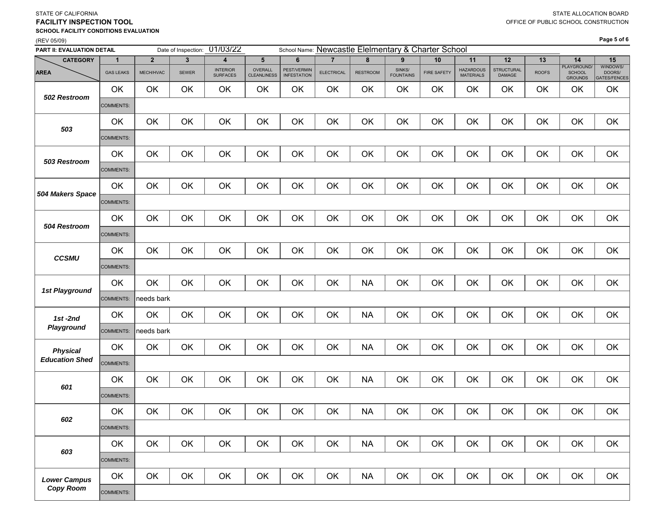#### **FACILITY INSPECTION TOOLSCHOOL FACILITY CONDITIONS EVALUATION**

## (REV 05/09)

STATE OF CALIFORNIA

| PART II: EVALUATION DETAIL |                  | Date of Inspection: 01/03/22 |       |                                    | School Name: Newcastle Elelmentary & Charter School |                                          |                   |                 |                            |                    |                                      |                      |              |                                                |                                    |  |  |
|----------------------------|------------------|------------------------------|-------|------------------------------------|-----------------------------------------------------|------------------------------------------|-------------------|-----------------|----------------------------|--------------------|--------------------------------------|----------------------|--------------|------------------------------------------------|------------------------------------|--|--|
| <b>CATEGORY</b>            | $\overline{1}$   | $\overline{2}$               | 3     | $\overline{4}$                     | 5                                                   | 6                                        | $\overline{7}$    | 8               | $\boldsymbol{9}$           | $10$               | 11                                   | 12                   | 13           | 14                                             | 15                                 |  |  |
| <b>AREA</b>                | <b>GAS LEAKS</b> | MECH/HVAC                    | SEWER | <b>INTERIOR</b><br><b>SURFACES</b> | OVERALL<br><b>CLEANLINESS</b>                       | <b>PEST/VERMIN</b><br><b>INFESTATION</b> | <b>ELECTRICAL</b> | <b>RESTROOM</b> | SINKS/<br><b>FOUNTAINS</b> | <b>FIRE SAFETY</b> | <b>HAZARDOUS</b><br><b>MATERIALS</b> | STRUCTURAL<br>DAMAGE | <b>ROOFS</b> | PLAYGROUND/<br><b>SCHOOL</b><br><b>GROUNDS</b> | WINDOWS/<br>DOORS/<br>GATES/FENCES |  |  |
| 502 Restroom               | OK               | OK                           | OK    | OK                                 | OK                                                  | OK                                       | OK                | OK              | OK                         | OK                 | OK                                   | OK                   | OK           | OK                                             | OK                                 |  |  |
|                            | <b>COMMENTS:</b> |                              |       |                                    |                                                     |                                          |                   |                 |                            |                    |                                      |                      |              |                                                |                                    |  |  |
| 503                        | OK               | OK                           | OK    | OK                                 | OK                                                  | OK                                       | OK                | OK              | OK                         | OK                 | OK                                   | OK                   | OK           | OK                                             | OK                                 |  |  |
|                            | <b>COMMENTS:</b> |                              |       |                                    |                                                     |                                          |                   |                 |                            |                    |                                      |                      |              |                                                |                                    |  |  |
| 503 Restroom               | OK               | OK                           | OK    | OK                                 | OK                                                  | OK                                       | OK                | OK              | OK                         | OK                 | OK                                   | OK                   | OK           | OK                                             | OK                                 |  |  |
|                            | COMMENTS:        |                              |       |                                    |                                                     |                                          |                   |                 |                            |                    |                                      |                      |              |                                                |                                    |  |  |
| 504 Makers Space           | OK               | OK                           | OK    | OK                                 | OK                                                  | OK                                       | OK                | OK              | OK                         | OK                 | OK                                   | OK                   | OK           | OK                                             | OK                                 |  |  |
|                            | COMMENTS:        |                              |       |                                    |                                                     |                                          |                   |                 |                            |                    |                                      |                      |              |                                                |                                    |  |  |
| 504 Restroom               | OK               | OK                           | OK    | OK                                 | OK                                                  | OK                                       | OK                | OK              | OK                         | OK                 | OK                                   | OK                   | OK           | OK                                             | OK                                 |  |  |
|                            | COMMENTS:        |                              |       |                                    |                                                     |                                          |                   |                 |                            |                    |                                      |                      |              |                                                |                                    |  |  |
| <b>CCSMU</b>               | OK               | OK                           | OK    | OK                                 | OK                                                  | OK                                       | OK                | OK              | OK                         | OK                 | OK                                   | OK                   | OK           | OK                                             | OK                                 |  |  |
|                            | <b>COMMENTS:</b> |                              |       |                                    |                                                     |                                          |                   |                 |                            |                    |                                      |                      |              |                                                |                                    |  |  |
| 1st Playground             | OK               | OK                           | OK    | OK                                 | OK                                                  | OK                                       | OK                | <b>NA</b>       | OK                         | OK                 | OK                                   | OK                   | OK           | OK                                             | OK                                 |  |  |
|                            | COMMENTS:        | needs bark                   |       |                                    |                                                     |                                          |                   |                 |                            |                    |                                      |                      |              |                                                |                                    |  |  |
| $1st - 2nd$                | OK               | OK                           | OK    | OK                                 | OK                                                  | OK                                       | OK                | <b>NA</b>       | OK                         | OK                 | OK                                   | OK                   | OK           | OK                                             | OK                                 |  |  |
| Playground                 | COMMENTS:        | needs bark                   |       |                                    |                                                     |                                          |                   |                 |                            |                    |                                      |                      |              |                                                |                                    |  |  |
| <b>Physical</b>            | OK               | OK                           | OK    | OK                                 | OK                                                  | OK                                       | OK                | <b>NA</b>       | OK                         | OK                 | OK                                   | OK                   | OK           | OK                                             | OK                                 |  |  |
| <b>Education Shed</b>      | <b>COMMENTS:</b> |                              |       |                                    |                                                     |                                          |                   |                 |                            |                    |                                      |                      |              |                                                |                                    |  |  |
| 601                        | OK               | OK                           | OK    | OK                                 | OK                                                  | OK                                       | OK                | <b>NA</b>       | OK                         | OK                 | OK                                   | OK                   | OK           | OK                                             | OK                                 |  |  |
|                            | COMMENTS:        |                              |       |                                    |                                                     |                                          |                   |                 |                            |                    |                                      |                      |              |                                                |                                    |  |  |
| 602                        | OK               | OK                           | OK    | OK                                 | OK                                                  | OK                                       | OK                | <b>NA</b>       | OK                         | OK                 | OK                                   | OK                   | OK           | OK                                             | OK                                 |  |  |
|                            | COMMENTS:        |                              |       |                                    |                                                     |                                          |                   |                 |                            |                    |                                      |                      |              |                                                |                                    |  |  |
| 603                        | OK               | OK                           | OK    | OK                                 | OK                                                  | OK                                       | OK                | <b>NA</b>       | OK                         | OK                 | OK                                   | OK                   | OK           | OK                                             | OK                                 |  |  |
|                            | <b>COMMENTS:</b> |                              |       |                                    |                                                     |                                          |                   |                 |                            |                    |                                      |                      |              |                                                |                                    |  |  |
| <b>Lower Campus</b>        | OK               | OK                           | OK    | OK                                 | OK                                                  | OK                                       | OK                | <b>NA</b>       | OK                         | OK                 | OK                                   | OK                   | OK           | OK                                             | OK                                 |  |  |
| <b>Copy Room</b>           | <b>COMMENTS:</b> |                              |       |                                    |                                                     |                                          |                   |                 |                            |                    |                                      |                      |              |                                                |                                    |  |  |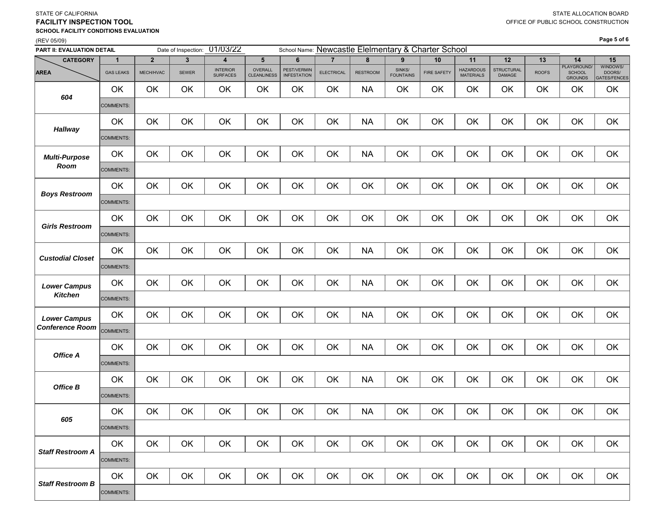### **FACILITY INSPECTION TOOLSCHOOL FACILITY CONDITIONS EVALUATION**

### (REV 05/09)

STATE OF CALIFORNIA

**Page 5 of 6**

| PART II: EVALUATION DETAIL |                  |                | Date of Inspection: | 01/03/22                           |                               |                                   |                   |                 |                            | School Name: Newcastle Elelmentary & Charter School |                                      |                             |              |                                         |                                           |
|----------------------------|------------------|----------------|---------------------|------------------------------------|-------------------------------|-----------------------------------|-------------------|-----------------|----------------------------|-----------------------------------------------------|--------------------------------------|-----------------------------|--------------|-----------------------------------------|-------------------------------------------|
| <b>CATEGORY</b>            | 1                | $\overline{2}$ | 3                   | 4                                  | $5\phantom{.0}$               | 6                                 | $\overline{7}$    | 8               | 9                          | 10                                                  | 11                                   | 12                          | 13           | 14                                      | 15                                        |
| <b>AREA</b>                | <b>GAS LEAKS</b> | MECH/HVAC      | <b>SEWER</b>        | <b>INTERIOR</b><br><b>SURFACES</b> | OVERALL<br><b>CLEANLINESS</b> | PEST/VERMIN<br><b>INFESTATION</b> | <b>ELECTRICAL</b> | <b>RESTROOM</b> | SINKS/<br><b>FOUNTAINS</b> | <b>FIRE SAFETY</b>                                  | <b>HAZARDOUS</b><br><b>MATERIALS</b> | <b>STRUCTURAL</b><br>DAMAGE | <b>ROOFS</b> | PLAYGROUND/<br><b>SCHOOL</b><br>GROUNDS | WINDOWS/<br>DOORS/<br><b>GATES/FENCES</b> |
| 604                        | OK               | OK             | OK                  | OK                                 | OK                            | OK                                | OK                | <b>NA</b>       | OK                         | OK                                                  | OK                                   | OK                          | OK           | OK                                      | OK                                        |
|                            | COMMENTS:        |                |                     |                                    |                               |                                   |                   |                 |                            |                                                     |                                      |                             |              |                                         |                                           |
| <b>Hallway</b>             | OK               | OK             | OK                  | OK                                 | OK                            | OK                                | OK                | <b>NA</b>       | OK                         | OK                                                  | OK                                   | OK                          | OK           | OK                                      | OK                                        |
|                            | <b>COMMENTS:</b> |                |                     |                                    |                               |                                   |                   |                 |                            |                                                     |                                      |                             |              |                                         |                                           |
| <b>Multi-Purpose</b>       | OK               | OK             | OK                  | OK                                 | OK                            | OK                                | OK                | <b>NA</b>       | OK                         | OK                                                  | OK                                   | OK                          | OK           | OK                                      | OK                                        |
| Room                       | COMMENTS:        |                |                     |                                    |                               |                                   |                   |                 |                            |                                                     |                                      |                             |              |                                         |                                           |
| <b>Boys Restroom</b>       | OK               | OK             | OK                  | OK                                 | OK                            | OK                                | OK                | OK              | OK                         | OK                                                  | OK                                   | OK                          | OK           | OK                                      | OK                                        |
|                            | COMMENTS:        |                |                     |                                    |                               |                                   |                   |                 |                            |                                                     |                                      |                             |              |                                         |                                           |
| <b>Girls Restroom</b>      | OK               | OK             | OK                  | OK                                 | OK                            | OK                                | OK                | OK              | OK                         | OK                                                  | OK                                   | OK                          | OK           | OK                                      | OK                                        |
|                            | COMMENTS:        |                |                     |                                    |                               |                                   |                   |                 |                            |                                                     |                                      |                             |              |                                         |                                           |
| <b>Custodial Closet</b>    | OK               | OK             | OK                  | OK                                 | OK                            | OK                                | OK                | <b>NA</b>       | OK                         | OK                                                  | OK                                   | OK                          | OK           | OK                                      | OK                                        |
|                            | COMMENTS:        |                |                     |                                    |                               |                                   |                   |                 |                            |                                                     |                                      |                             |              |                                         |                                           |
| <b>Lower Campus</b>        | OK               | OK             | OK                  | OK                                 | OK                            | OK                                | OK                | <b>NA</b>       | OK                         | OK                                                  | OK                                   | OK                          | OK           | OK                                      | OK                                        |
| <b>Kitchen</b>             | <b>COMMENTS:</b> |                |                     |                                    |                               |                                   |                   |                 |                            |                                                     |                                      |                             |              |                                         |                                           |
| <b>Lower Campus</b>        | OK               | OK             | OK                  | OK                                 | OK                            | OK                                | OK                | <b>NA</b>       | OK                         | OK                                                  | OK                                   | OK                          | OK           | OK                                      | OK                                        |
| <b>Conference Room</b>     | <b>COMMENTS:</b> |                |                     |                                    |                               |                                   |                   |                 |                            |                                                     |                                      |                             |              |                                         |                                           |
| Office A                   | OK               | OK             | OK                  | OK                                 | OK                            | OK                                | OK                | <b>NA</b>       | OK                         | OK                                                  | OK                                   | OK                          | OK           | OK                                      | OK                                        |
|                            | COMMENTS:        |                |                     |                                    |                               |                                   |                   |                 |                            |                                                     |                                      |                             |              |                                         |                                           |
| Office B                   | OK               | OK             | OK                  | OK                                 | OK                            | OK                                | OK                | <b>NA</b>       | OK                         | OK                                                  | OK                                   | OK                          | OK           | OK                                      | OK                                        |
|                            | <b>COMMENTS:</b> |                |                     |                                    |                               |                                   |                   |                 |                            |                                                     |                                      |                             |              |                                         |                                           |
| 605                        | OK               | OK             | OK                  | OK                                 | OK                            | OK                                | OK                | <b>NA</b>       | OK                         | OK                                                  | OK                                   | OK                          | OK           | OK                                      | OK                                        |
|                            | <b>COMMENTS:</b> |                |                     |                                    |                               |                                   |                   |                 |                            |                                                     |                                      |                             |              |                                         |                                           |
| <b>Staff Restroom A</b>    | OK               | OK             | OK                  | OK                                 | OK                            | OK                                | OK                | OK              | OK                         | OK                                                  | OK                                   | OK                          | OK           | OK                                      | OK                                        |
|                            | COMMENTS:        |                |                     |                                    |                               |                                   |                   |                 |                            |                                                     |                                      |                             |              |                                         |                                           |
| <b>Staff Restroom B</b>    | OK               | OK             | OK                  | OK                                 | OK                            | OK                                | OK                | OK              | OK                         | OK                                                  | OK                                   | OK                          | OK           | OK                                      | OK                                        |
|                            | COMMENTS:        |                |                     |                                    |                               |                                   |                   |                 |                            |                                                     |                                      |                             |              |                                         |                                           |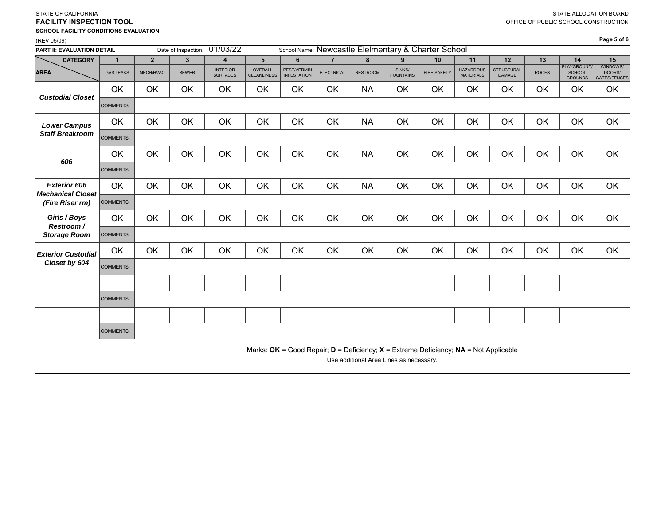| PART II: EVALUATION DETAIL                      |                  |                |              | Date of Inspection: 01/03/22       |                               |                                   |                   |                 |                            | School Name: Newcastle Elelmentary & Charter School |                                      |                             |              |                                         |                                    |
|-------------------------------------------------|------------------|----------------|--------------|------------------------------------|-------------------------------|-----------------------------------|-------------------|-----------------|----------------------------|-----------------------------------------------------|--------------------------------------|-----------------------------|--------------|-----------------------------------------|------------------------------------|
| <b>CATEGORY</b>                                 | $\mathbf{1}$     | $\overline{2}$ | $\mathbf{3}$ | $\overline{4}$                     | $5\phantom{1}$                | 6                                 | $\overline{7}$    | 8               | 9                          | 10                                                  | 11                                   | 12                          | 13           | 14                                      | 15                                 |
| <b>AREA</b>                                     | <b>GAS LEAKS</b> | MECH/HVAC      | <b>SEWER</b> | <b>INTERIOR</b><br><b>SURFACES</b> | OVERALL<br><b>CLEANLINESS</b> | PEST/VERMIN<br><b>INFESTATION</b> | <b>ELECTRICAL</b> | <b>RESTROOM</b> | SINKS/<br><b>FOUNTAINS</b> | <b>FIRE SAFETY</b>                                  | <b>HAZARDOUS</b><br><b>MATERIALS</b> | <b>STRUCTURAL</b><br>DAMAGE | <b>ROOFS</b> | PLAYGROUND.<br>SCHOOL<br><b>GROUNDS</b> | WINDOWS/<br>DOORS/<br>GATES/FENCES |
| <b>Custodial Closet</b>                         | OK.              | OK             | OK           | OK                                 | OK                            | OK                                | OK                | <b>NA</b>       | OK                         | OK                                                  | OK                                   | OK                          | OK           | OK                                      | OK                                 |
|                                                 | COMMENTS:        |                |              |                                    |                               |                                   |                   |                 |                            |                                                     |                                      |                             |              |                                         |                                    |
| <b>Lower Campus</b>                             | OK               | OK             | OK           | OK                                 | OK                            | OK                                | OK                | <b>NA</b>       | OK                         | OK                                                  | OK                                   | OK                          | OK           | OK                                      | OK                                 |
| <b>Staff Breakroom</b>                          | COMMENTS:        |                |              |                                    |                               |                                   |                   |                 |                            |                                                     |                                      |                             |              |                                         |                                    |
| 606                                             | OK               | OK             | OK           | OK                                 | OK                            | OK                                | OK                | <b>NA</b>       | OK                         | OK                                                  | OK                                   | OK                          | OK           | OK                                      | OK                                 |
|                                                 | COMMENTS:        |                |              |                                    |                               |                                   |                   |                 |                            |                                                     |                                      |                             |              |                                         |                                    |
| <b>Exterior 606</b><br><b>Mechanical Closet</b> | OK               | OK             | OK           | OK                                 | OK                            | OK                                | OK                | <b>NA</b>       | OK                         | OK                                                  | OK                                   | OK                          | OK           | OK                                      | OK                                 |
| (Fire Riser rm)                                 | COMMENTS:        |                |              |                                    |                               |                                   |                   |                 |                            |                                                     |                                      |                             |              |                                         |                                    |
| Girls / Boys<br>Restroom/                       | OK               | OK             | OK           | OK                                 | OK                            | OK                                | OK                | OK              | OK                         | OK                                                  | OK                                   | OK                          | OK           | OK                                      | OK                                 |
| <b>Storage Room</b>                             | COMMENTS:        |                |              |                                    |                               |                                   |                   |                 |                            |                                                     |                                      |                             |              |                                         |                                    |
| <b>Exterior Custodial</b>                       | OK               | OK             | OK           | OK                                 | OK                            | OK                                | OK                | OK              | OK                         | OK                                                  | OK                                   | OK                          | OK           | OK                                      | OK                                 |
| Closet by 604                                   | COMMENTS:        |                |              |                                    |                               |                                   |                   |                 |                            |                                                     |                                      |                             |              |                                         |                                    |
|                                                 |                  |                |              |                                    |                               |                                   |                   |                 |                            |                                                     |                                      |                             |              |                                         |                                    |
|                                                 | COMMENTS:        |                |              |                                    |                               |                                   |                   |                 |                            |                                                     |                                      |                             |              |                                         |                                    |
|                                                 |                  |                |              |                                    |                               |                                   |                   |                 |                            |                                                     |                                      |                             |              |                                         |                                    |
|                                                 | COMMENTS:        |                |              |                                    |                               |                                   |                   |                 |                            |                                                     |                                      |                             |              |                                         |                                    |

STATE OF CALIFORNIA

**FACILITY INSPECTION TOOL**

**SCHOOL FACILITY CONDITIONS EVALUATION**

(REV 05/09)

Marks: **OK** = Good Repair; **D** = Deficiency; **X** = Extreme Deficiency; **NA** = Not Applicable

Use additional Area Lines as necessary.

STATE ALLOCATION BOARD

**Page 5 of 6**

OFFICE OF PUBLIC SCHOOL CONSTRUCTION